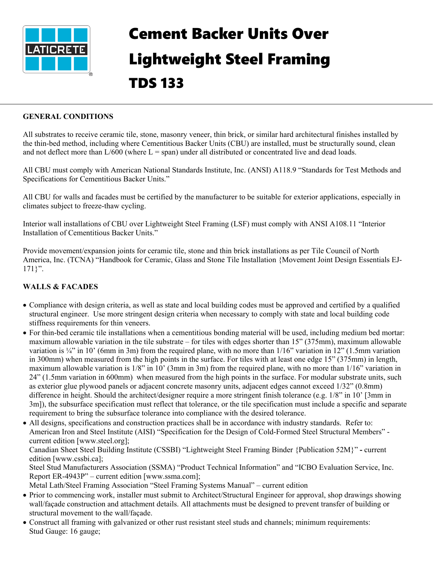

## Cement Backer Units Over Lightweight Steel Framing TDS 133

## **GENERAL CONDITIONS**

All substrates to receive ceramic tile, stone, masonry veneer, thin brick, or similar hard architectural finishes installed by the thin-bed method, including where Cementitious Backer Units (CBU) are installed, must be structurally sound, clean and not deflect more than  $L/600$  (where  $L =$  span) under all distributed or concentrated live and dead loads.

All CBU must comply with American National Standards Institute, Inc. (ANSI) A118.9 "Standards for Test Methods and Specifications for Cementitious Backer Units."

All CBU for walls and facades must be certified by the manufacturer to be suitable for exterior applications, especially in climates subject to freeze-thaw cycling.

Interior wall installations of CBU over Lightweight Steel Framing (LSF) must comply with ANSI A108.11 "Interior Installation of Cementitious Backer Units."

Provide movement/expansion joints for ceramic tile, stone and thin brick installations as per Tile Council of North America, Inc. (TCNA) "Handbook for Ceramic, Glass and Stone Tile Installation {Movement Joint Design Essentials EJ- $171$ ".

## **WALLS & FACADES**

- Compliance with design criteria, as well as state and local building codes must be approved and certified by a qualified structural engineer. Use more stringent design criteria when necessary to comply with state and local building code stiffness requirements for thin veneers.
- For thin-bed ceramic tile installations when a cementitious bonding material will be used, including medium bed mortar: maximum allowable variation in the tile substrate – for tiles with edges shorter than 15" (375mm), maximum allowable variation is ¼" in 10' (6mm in 3m) from the required plane, with no more than  $1/16$ " variation in 12" (1.5mm variation in 300mm) when measured from the high points in the surface. For tiles with at least one edge 15" (375mm) in length, maximum allowable variation is 1/8" in 10' (3mm in 3m) from the required plane, with no more than 1/16" variation in 24" (1.5mm variation in 600mm) when measured from the high points in the surface. For modular substrate units, such as exterior glue plywood panels or adjacent concrete masonry units, adjacent edges cannot exceed 1/32" (0.8mm) difference in height. Should the architect/designer require a more stringent finish tolerance (e.g. 1/8" in 10' [3mm in 3m]), the subsurface specification must reflect that tolerance, or the tile specification must include a specific and separate requirement to bring the subsurface tolerance into compliance with the desired tolerance.

• All designs, specifications and construction practices shall be in accordance with industry standards. Refer to: American Iron and Steel Institute (AISI) "Specification for the Design of Cold-Formed Steel Structural Members" current edition [www.steel.org]; Canadian Sheet Steel Building Institute (CSSBI) "Lightweight Steel Framing Binder {Publication 52M}" **-** current edition [www.cssbi.ca]; Steel Stud Manufacturers Association (SSMA) "Product Technical Information" and "ICBO Evaluation Service, Inc. Report ER-4943P" – current edition [www.ssma.com]; Metal Lath/Steel Framing Association "Steel Framing Systems Manual" – current edition

- Prior to commencing work, installer must submit to Architect/Structural Engineer for approval, shop drawings showing wall/façade construction and attachment details. All attachments must be designed to prevent transfer of building or structural movement to the wall/façade.
- Construct all framing with galvanized or other rust resistant steel studs and channels; minimum requirements: Stud Gauge: 16 gauge;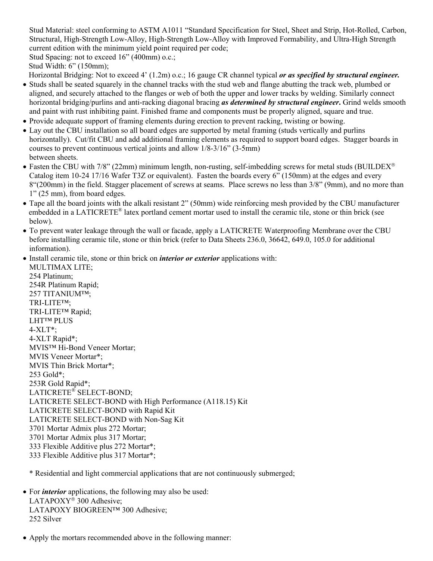Stud Material: steel conforming to ASTM A1011 "Standard Specification for Steel, Sheet and Strip, Hot-Rolled, Carbon, Structural, High-Strength Low-Alloy, High-Strength Low-Alloy with Improved Formability, and Ultra-High Strength current edition with the minimum yield point required per code;

Stud Spacing: not to exceed 16" (400mm) o.c.;

Stud Width: 6" (150mm);

Horizontal Bridging: Not to exceed 4' (1.2m) o.c.; 16 gauge CR channel typical *or as specified by structural engineer.*

- Studs shall be seated squarely in the channel tracks with the stud web and flange abutting the track web, plumbed or aligned, and securely attached to the flanges or web of both the upper and lower tracks by welding. Similarly connect horizontal bridging/purlins and anti-racking diagonal bracing *as determined by structural engineer***.** Grind welds smooth and paint with rust inhibiting paint. Finished frame and components must be properly aligned, square and true.
- Provide adequate support of framing elements during erection to prevent racking, twisting or bowing.
- Lay out the CBU installation so all board edges are supported by metal framing (studs vertically and purlins horizontally). Cut/fit CBU and add additional framing elements as required to support board edges. Stagger boards in courses to prevent continuous vertical joints and allow 1/8-3/16" (3-5mm) between sheets.
- Fasten the CBU with 7/8" (22mm) minimum length, non-rusting, self-imbedding screws for metal studs (BUILDEX<sup>®</sup> Catalog item 10-24 17/16 Wafer T3Z or equivalent). Fasten the boards every 6" (150mm) at the edges and every 8"(200mm) in the field. Stagger placement of screws at seams. Place screws no less than 3/8" (9mm), and no more than 1" (25 mm), from board edges.
- Tape all the board joints with the alkali resistant 2" (50mm) wide reinforcing mesh provided by the CBU manufacturer embedded in a LATICRETE® latex portland cement mortar used to install the ceramic tile, stone or thin brick (see below).
- To prevent water leakage through the wall or facade, apply a LATICRETE Waterproofing Membrane over the CBU before installing ceramic tile, stone or thin brick (refer to Data Sheets 236.0, 36642, 649.0, 105.0 for additional information).
- Install ceramic tile, stone or thin brick on *interior or exterior* applications with:

MULTIMAX LITE; 254 Platinum; 254R Platinum Rapid; 257 TITANIUM™; TRI-LITE™; TRI-LITE™ Rapid; LHT™ PLUS 4-XLT\*; 4-XLT Rapid\*; MVIS™ Hi-Bond Veneer Mortar; MVIS Veneer Mortar\*; MVIS Thin Brick Mortar\*; 253 Gold\*; 253R Gold Rapid\*; LATICRETE® SELECT-BOND; LATICRETE SELECT-BOND with High Performance (A118.15) Kit LATICRETE SELECT-BOND with Rapid Kit LATICRETE SELECT-BOND with Non-Sag Kit 3701 Mortar Admix plus 272 Mortar; 3701 Mortar Admix plus 317 Mortar; 333 Flexible Additive plus 272 Mortar\*; 333 Flexible Additive plus 317 Mortar\*;

\* Residential and light commercial applications that are not continuously submerged;

- For *interior* applications, the following may also be used: LATAPOXY<sup>®</sup> 300 Adhesive; LATAPOXY BIOGREEN™ 300 Adhesive; 252 Silver
- Apply the mortars recommended above in the following manner: